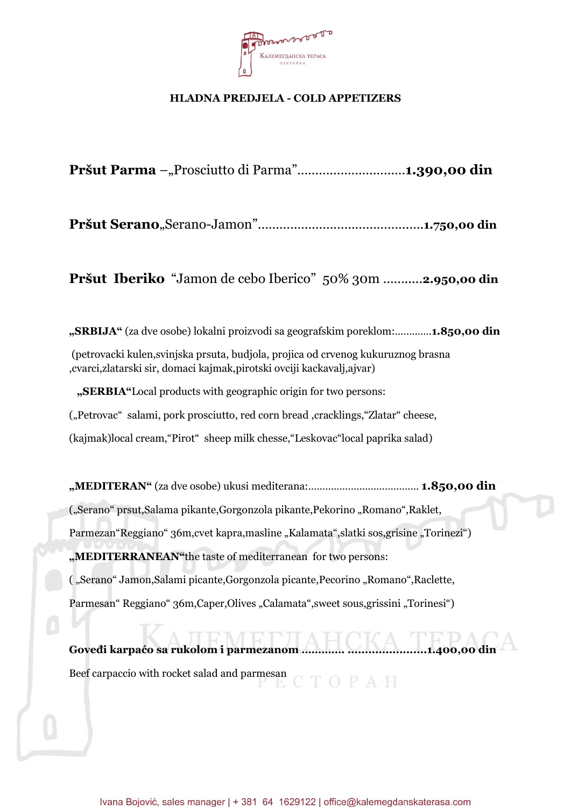

### **HLADNA PREDJELA - COLD APPETIZERS**

Pršut Parma –"Prosciutto di Parma"...............................1.390,00 din

**Pršut Serano**"Serano-Jamon"……………………………………….**1.750,00 din**

**Pršut Iberiko** "Jamon de cebo Iberico" 50% 30m …….....**2.950,00 din**

**"SRBIJA"** (za dve osobe) lokalni proizvodi sa geografskim poreklom:………….**1.850,00 din** (petrovacki kulen,svinjska prsuta, budjola, projica od crvenog kukuruznog brasna ,cvarci,zlatarski sir, domaci kajmak,pirotski ovciji kackavalj,ajvar)  **"SERBIA"**Local products with geographic origin for two persons: ("Petrovac" salami, pork prosciutto, red corn bread ,cracklings, "Zlatar" cheese,

(kajmak)local cream,"Pirot" sheep milk chesse,"Leskovac"local paprika salad)

**"MEDITERAN"** (za dve osobe) ukusi mediterana:………………………………… **1.850,00 din** ("Serano" prsut,Salama pikante,Gorgonzola pikante,Pekorino "Romano",Raklet, Parmezan"Reggiano" 36m, cvet kapra, masline "Kalamata", slatki sos, grisine "Torinezi") **"MEDITERRANEAN"**the taste of mediterranean for two persons: ( "Serano" Jamon,Salami picante,Gorgonzola picante,Pecorino "Romano",Raclette, Parmesan" Reggiano" 36m,Caper,Olives "Calamata", sweet sous, grissini "Torinesi")

**Goveđi karpaćo sa rukolom i parmezanom …………. .......................1.400,00 din** Beef carpaccio with rocket salad and parmesan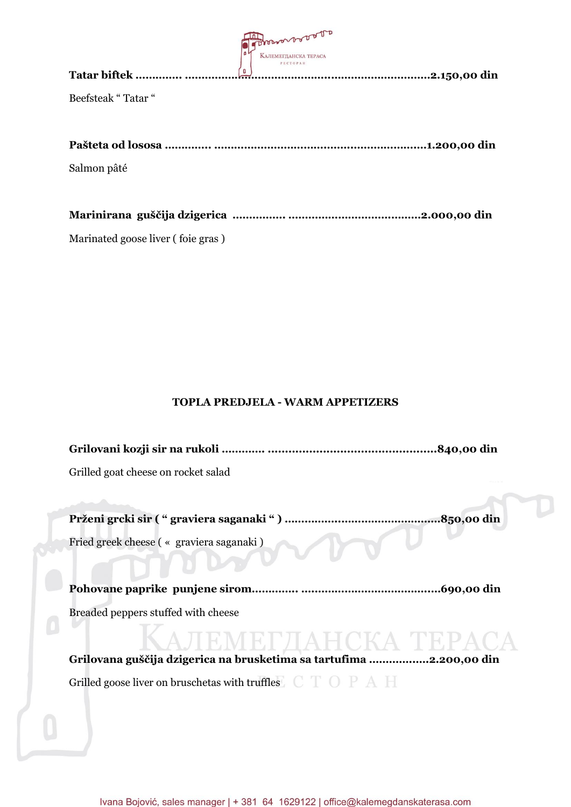| Tatar biftek       | Proconor or or or<br><b>КАЛЕМЕГДАНСКА ТЕРАСА</b><br>PECTOPAH<br>O | .2.150,00 din |
|--------------------|-------------------------------------------------------------------|---------------|
|                    |                                                                   |               |
| Beefsteak "Tatar " |                                                                   |               |
| Salmon pâté        |                                                                   |               |
|                    |                                                                   |               |
|                    |                                                                   | .2.000,00 din |

Marinated goose liver ( foie gras )

#### **TOPLA PREDJELA - WARM APPETIZERS**

**Grilovani kozji sir na rukoli …………. .................................................840,00 din** Grilled goat cheese on rocket salad

**Prženi grcki sir ( " graviera saganaki " ) ……………..…………………………850,00 din** Fried greek cheese ( « graviera saganaki )

**Pohovane paprike punjene sirom………….. ….……………………………..…690,00 din**

Breaded peppers stuffed with cheese

**Grilovana guščija dzigerica na brusketima sa tartufima …………..….2.200,00 din** Grilled goose liver on bruschetas with truffles  $C$   $T$   $O$   $P$   $A$   $H$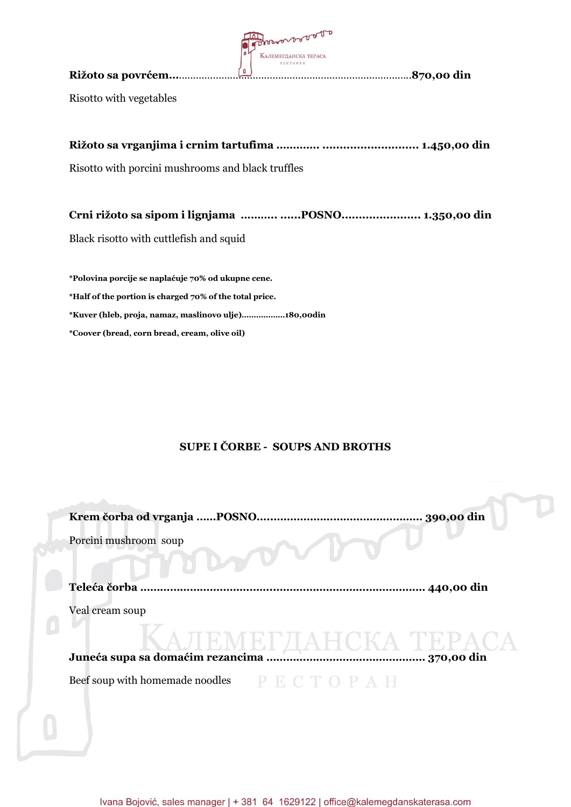|                         | Prosports of the<br>$\bullet$<br><b>КАЛЕМЕГДАНСКА ТЕРАСА</b> |                    |
|-------------------------|--------------------------------------------------------------|--------------------|
| Rižoto sa povrćem       | PECTOPAH<br>O                                                | <b>.870,00 din</b> |
| Risotto with vegetables |                                                              |                    |

**Rižoto sa vrganjima i crnim tartufima …………. ............................ 1.450,00 din**

Risotto with porcini mushrooms and black truffles

**Crni rižoto sa sipom i lignjama ……….. ......POSNO....................... 1.350,00 din**

Black risotto with cuttlefish and squid

**\*Polovina porcije se naplaćuje 70% od ukupne cene. \*Half of the portion is charged 70% of the total price. \*Kuver (hleb, proja, namaz, maslinovo ulje)………………180,00din \*Coover (bread, corn bread, cream, olive oil)**

### **SUPE I ČORBE - SOUPS AND BROTHS**

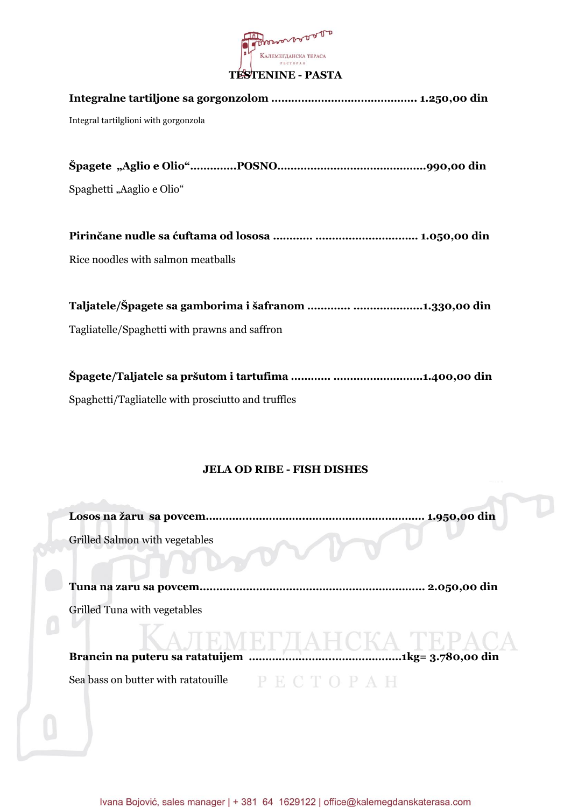

# **Integralne tartiljone sa gorgonzolom …………………………………….. 1.250,00 din** Integral tartilglioni with gorgonzola **Špagete "Aglio e Olio"…………..POSNO………………………………………990,00 din** Spaghetti "Aaglio e Olio" **Pirinčane nudle sa ćuftama od lososa ………… ……….………………… 1.050,00 din** Rice noodles with salmon meatballs **Taljatele/Špagete sa gamborima i šafranom …………. …………………1.330,00 din** Tagliatelle/Spaghetti with prawns and saffron **Špagete/Taljatele sa pršutom i tartufima ………… ………………………1.400,00 din**

Spaghetti/Tagliatelle with prosciutto and truffles

# **JELA OD RIBE - FISH DISHES**

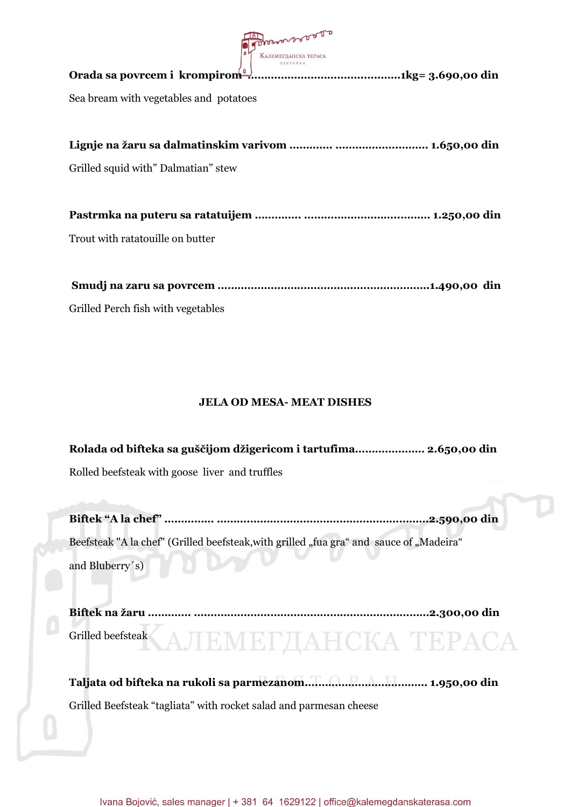| Thorson Door                           |
|----------------------------------------|
| Sea bream with vegetables and potatoes |
| Grilled squid with" Dalmatian" stew    |
| Trout with ratatouille on butter       |

Grilled Perch fish with vegetables

## **JELA OD MESA- MEAT DISHES**

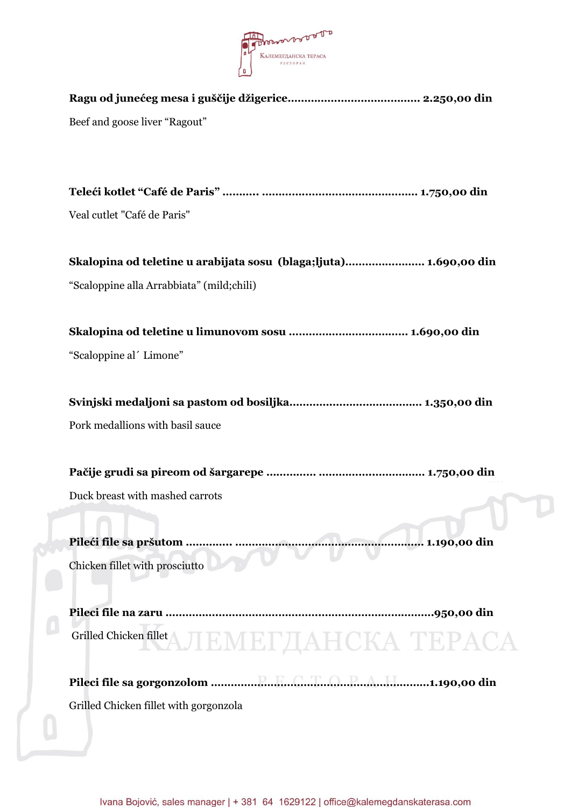

| Beef and goose liver "Ragout"                                     |
|-------------------------------------------------------------------|
|                                                                   |
| Veal cutlet "Café de Paris"                                       |
| Skalopina od teletine u arabijata sosu (blaga;ljuta) 1.690,00 din |
| "Scaloppine alla Arrabbiata" (mild;chili)                         |
|                                                                   |
| "Scaloppine al' Limone"                                           |
|                                                                   |
| Pork medallions with basil sauce                                  |
|                                                                   |
| Duck breast with mashed carrots                                   |
|                                                                   |
| Chicken fillet with prosciutto                                    |
|                                                                   |
| Grilled Chicken fillet AJJEMET JAHCKA TEPACA                      |
|                                                                   |
|                                                                   |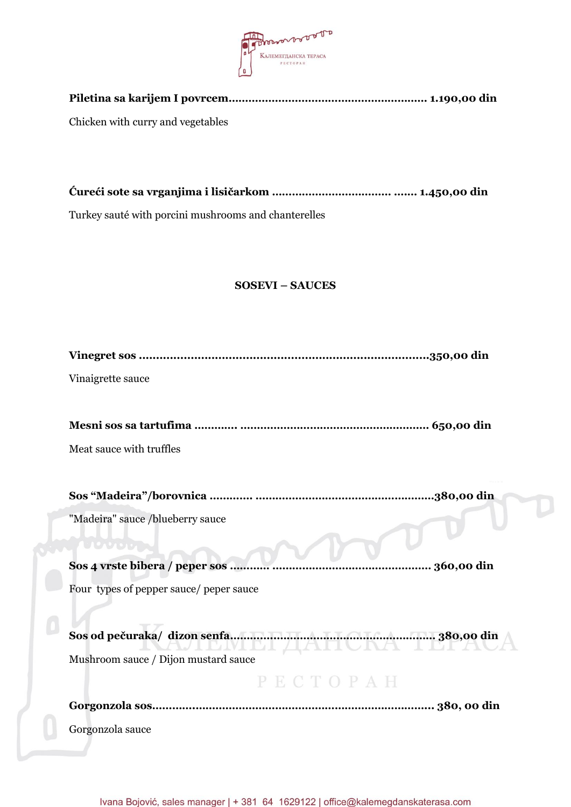

| Chicken with curry and vegetables |  |
|-----------------------------------|--|
|                                   |  |

**Ćureći sote sa vrganjima i lisičarkom ……………………………… ….… 1.450,00 din**

Turkey sauté with porcini mushrooms and chanterelles

J

# **SOSEVI – SAUCES**

| Vinaigrette sauce                                        |
|----------------------------------------------------------|
|                                                          |
|                                                          |
| Meat sauce with truffles                                 |
|                                                          |
|                                                          |
| "Madeira" sauce /blueberry sauce                         |
| UCNUM .                                                  |
| Sos 4 vrste bibera / peper sos<br>360,00 din             |
| Four types of pepper sauce/ peper sauce                  |
|                                                          |
| Sos od pečuraka/dizon senfa minimum energia a 380,00 din |
| Mushroom sauce / Dijon mustard sauce                     |
| РЕСТОРАН                                                 |
|                                                          |
| Gorgonzola sauce                                         |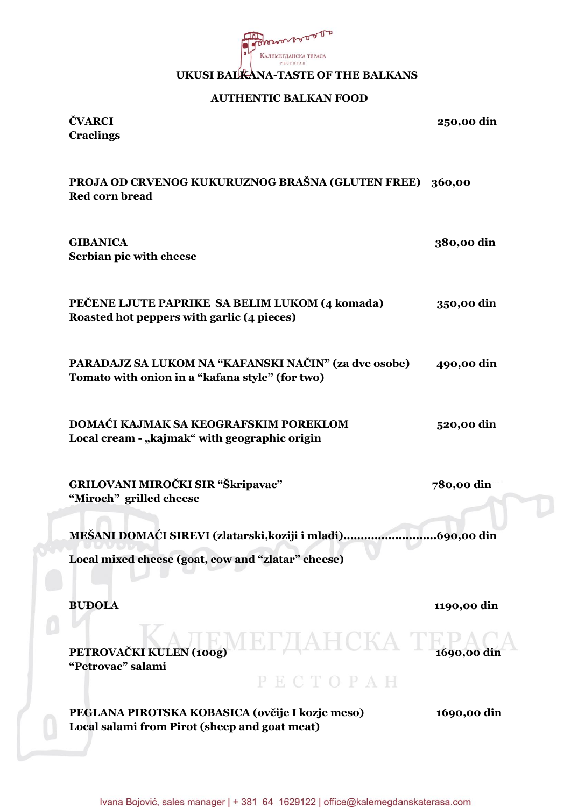

#### **UKUSI BALKANA-TASTE OF THE BALKANS**

#### **AUTHENTIC BALKAN FOOD**

**ČVARCI 250,00 din Craclings**

### **PROJA OD CRVENOG KUKURUZNOG BRAŠNA (GLUTEN FREE) 360,00 Red corn bread**

| <b>GIBANICA</b><br>Serbian pie with cheese                                                              | 380,00 din  |
|---------------------------------------------------------------------------------------------------------|-------------|
| PEČENE LJUTE PAPRIKE SA BELIM LUKOM (4 komada)<br>Roasted hot peppers with garlic (4 pieces)            | 350,00 din  |
| PARADAJZ SA LUKOM NA "KAFANSKI NAČIN" (za dve osobe)<br>Tomato with onion in a "kafana style" (for two) | 490,00 din  |
| DOMAĆI KAJMAK SA KEOGRAFSKIM POREKLOM<br>Local cream - "kajmak" with geographic origin                  | 520,00 din  |
| GRILOVANI MIROČKI SIR "Škripavac"<br>"Miroch" grilled cheese                                            | 780,00 din  |
| MEŠANI DOMAĆI SIREVI (zlatarski, koziji i mladi)                                                        | 690,00 din  |
| Local mixed cheese (goat, cow and "zlatar" cheese)                                                      |             |
| <b>BUĐOLA</b>                                                                                           | 1190,00 din |
| ІЕГДАНСКА<br>PETROVAČKI KULEN (100g)<br>"Petrovac" salami<br>PECTOPAH                                   | 1690,00 din |
| PEGLANA PIROTSKA KOBASICA (ovčije I kozje meso)                                                         | 1690,00 din |
|                                                                                                         |             |

**Local salami from Pirot (sheep and goat meat)**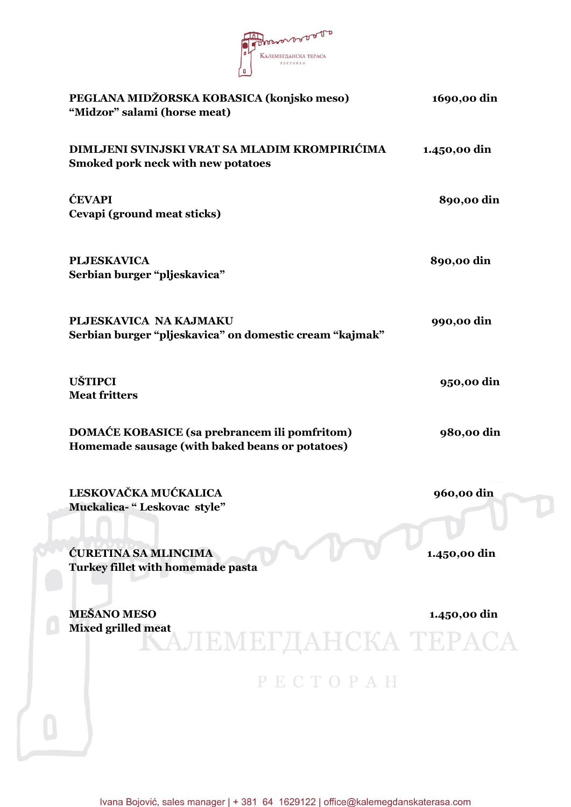

| PEGLANA MIDŽORSKA KOBASICA (konjsko meso)<br>"Midzor" salami (horse meat)                        | 1690,00 din  |
|--------------------------------------------------------------------------------------------------|--------------|
| DIMLJENI SVINJSKI VRAT SA MLADIM KROMPIRIĆIMA<br>Smoked pork neck with new potatoes              | 1.450,00 din |
| <b>ĆEVAPI</b><br>Cevapi (ground meat sticks)                                                     | 890,00 din   |
| <b>PLJESKAVICA</b><br>Serbian burger "pljeskavica"                                               | 890,00 din   |
| PLJESKAVICA NA KAJMAKU<br>Serbian burger "pljeskavica" on domestic cream "kajmak"                | 990,00 din   |
| <b>UŠTIPCI</b><br><b>Meat fritters</b>                                                           | 950,00 din   |
| DOMAĆE KOBASICE (sa prebrancem ili pomfritom)<br>Homemade sausage (with baked beans or potatoes) | 980,00 din   |
| LESKOVAČKA MUĆKALICA<br>Muckalica-" Leskovac style"                                              | 960,00 din   |
| ĆURETINA SA MLINCIMA<br>Turkey fillet with homemade pasta                                        | 1.450,00 din |
| <b>MEŠANO MESO</b><br><b>Mixed grilled meat</b><br>АЛЕМЕГДАНСКА ТЕРАСА                           | 1.450,00 din |
| PECTOPAH                                                                                         |              |
|                                                                                                  |              |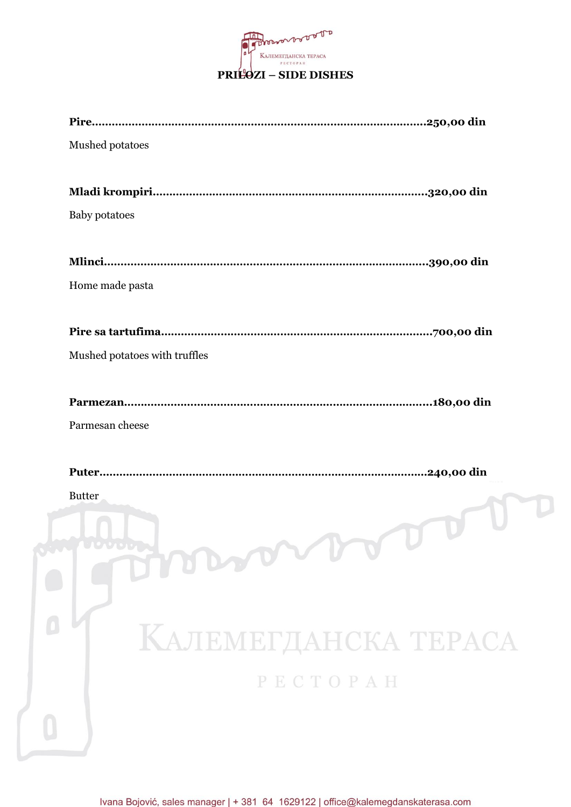

| Mushed potatoes      |                               |
|----------------------|-------------------------------|
|                      |                               |
| <b>Baby potatoes</b> |                               |
|                      |                               |
| Home made pasta      |                               |
|                      |                               |
|                      | Mushed potatoes with truffles |
|                      |                               |
| Parmesan cheese      |                               |
|                      |                               |
| <b>Butter</b>        | mondan                        |
|                      |                               |
|                      |                               |
|                      | КАЛЕМЕГДАНСКА ТЕРАСА          |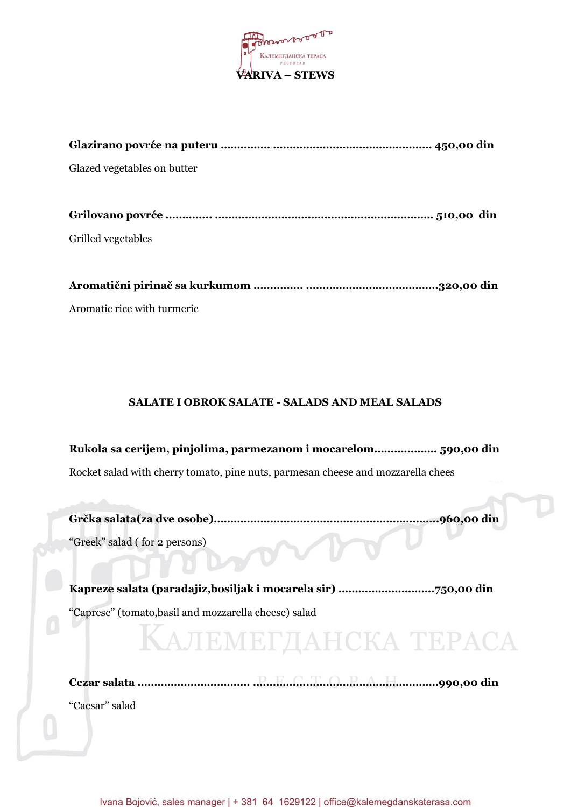

| Glazed vegetables on butter |
|-----------------------------|
|                             |
|                             |
| Grilled vegetables          |
|                             |
|                             |

Aromatic rice with turmeric

#### **SALATE I OBROK SALATE - SALADS AND MEAL SALADS**

**Rukola sa cerijem, pinjolima, parmezanom i mocarelom………………. 590,00 din** Rocket salad with cherry tomato, pine nuts, parmesan cheese and mozzarella chees

**Grčka salata(za dve osobe)…………………………………………………………..960,00 din** "Greek" salad ( for 2 persons)

**Kapreze salata (paradajiz,bosiljak i mocarela sir) ………………………..750,00 din**

"Caprese" (tomato,basil and mozzarella cheese) salad

**КАЛЕМЕГДАНСКА ТЕРАСА** 

**Cezar salata ……………………………. ……………..…………………………………990,00 din** "Caesar" salad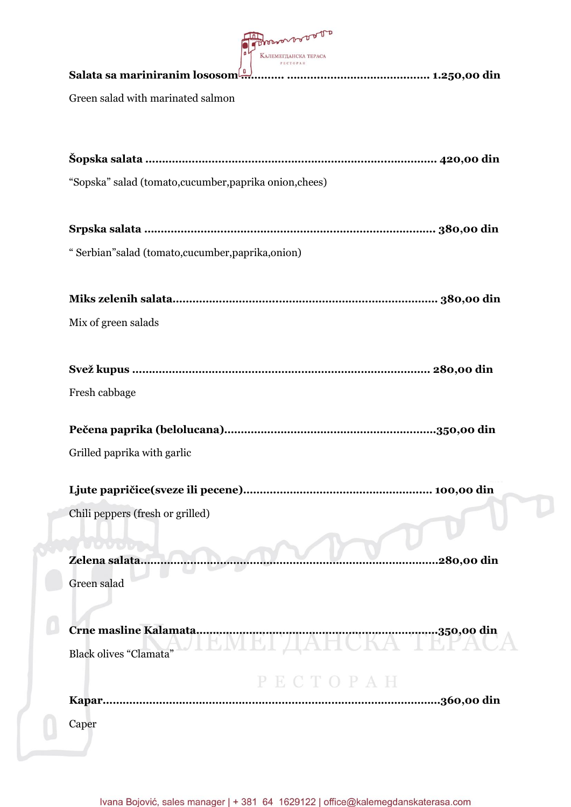

| Green salad with marinated salmon                       |             |
|---------------------------------------------------------|-------------|
|                                                         |             |
| "Sopska" salad (tomato, cucumber, paprika onion, chees) |             |
|                                                         |             |
| "Serbian" salad (tomato, cucumber, paprika, onion)      |             |
|                                                         |             |
| Mix of green salads                                     |             |
| Svež kupus ………………………………………………………………………………… 280,00 din   |             |
| Fresh cabbage                                           |             |
|                                                         |             |
| Grilled paprika with garlic                             |             |
|                                                         |             |
| Chili peppers (fresh or grilled)                        |             |
| $\mathbf{u} \cdot \mathbf{v}$<br>Zelena salata          | .280,00 din |
| Green salad                                             |             |
| Crne masline Kalamata<br>EMEI ДАНСКА ТЕГАС              |             |
| <b>Black olives "Clamata"</b>                           |             |
|                                                         |             |

**Kapar…………………………………………………………………………………………360,00 din** Caper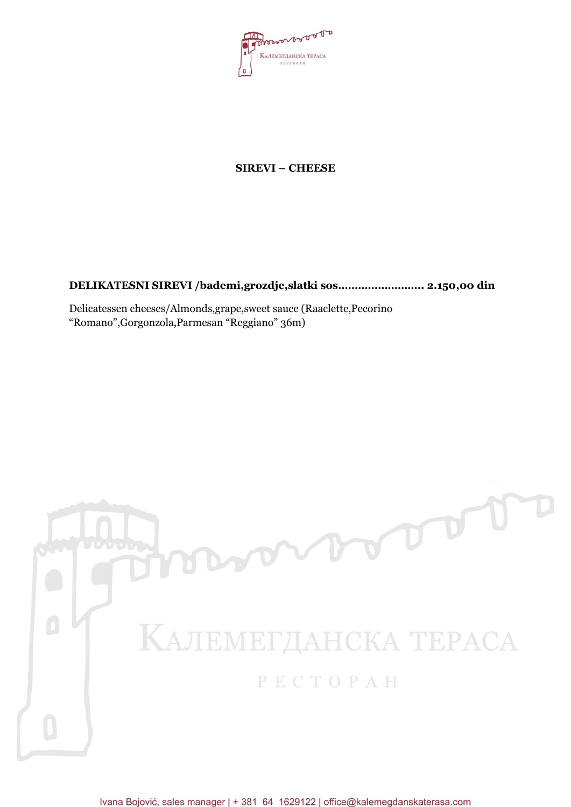

### **SIREVI – CHEESE**

**DELIKATESNI SIREVI /bademi,grozdje,slatki sos…………………….. 2.150,00 din**

Delicatessen cheeses/Almonds,grape,sweet sauce (Raaclette,Pecorino "Romano",Gorgonzola,Parmesan "Reggiano" 36m)